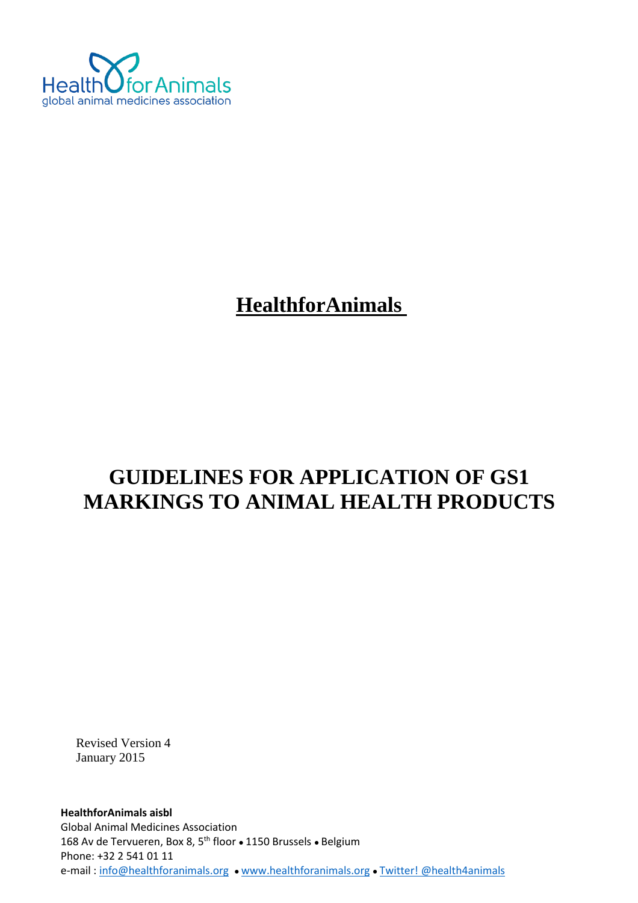

# **HealthforAnimals**

# **GUIDELINES FOR APPLICATION OF GS1 MARKINGS TO ANIMAL HEALTH PRODUCTS**

Revised Version 4 January 2015

**HealthforAnimals aisbl** Global Animal Medicines Association 168 Av de Tervueren, Box 8, 5<sup>th</sup> floor • 1150 Brussels • Belgium Phone: +32 2 541 01 11 e-mail [: info@healthforanimals.org](mailto:info@healthforanimals.org) ● [www.healthforanimals.org](http://www.healthforanimals.org/) ● [Twitter! @health4animals](https://twitter.com/Health4Animals)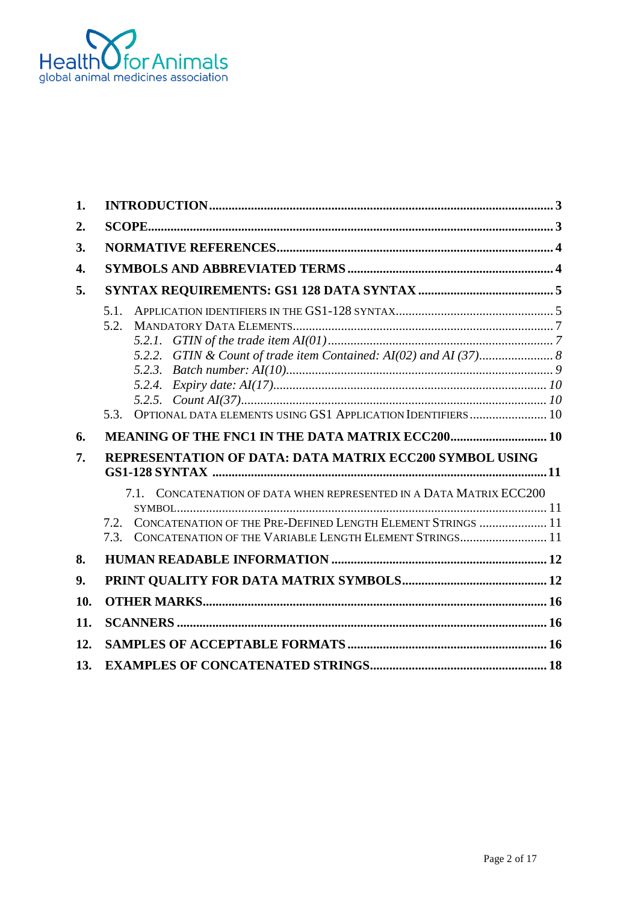

| 1.  |                                                                                                                                                                                                                 |
|-----|-----------------------------------------------------------------------------------------------------------------------------------------------------------------------------------------------------------------|
| 2.  |                                                                                                                                                                                                                 |
| 3.  |                                                                                                                                                                                                                 |
| 4.  |                                                                                                                                                                                                                 |
| 5.  |                                                                                                                                                                                                                 |
|     | 5.1.<br>5.2.<br>OPTIONAL DATA ELEMENTS USING GS1 APPLICATION IDENTIFIERS  10<br>5.3.                                                                                                                            |
| 6.  | MEANING OF THE FNC1 IN THE DATA MATRIX ECC200 10                                                                                                                                                                |
| 7.  | <b>REPRESENTATION OF DATA: DATA MATRIX ECC200 SYMBOL USING</b>                                                                                                                                                  |
|     | CONCATENATION OF DATA WHEN REPRESENTED IN A DATA MATRIX ECC200<br>7.1.<br>CONCATENATION OF THE PRE-DEFINED LENGTH ELEMENT STRINGS  11<br>7.2<br>CONCATENATION OF THE VARIABLE LENGTH ELEMENT STRINGS 11<br>7.3. |
| 8.  |                                                                                                                                                                                                                 |
| 9.  |                                                                                                                                                                                                                 |
| 10. |                                                                                                                                                                                                                 |
| 11. |                                                                                                                                                                                                                 |
| 12. |                                                                                                                                                                                                                 |
| 13. |                                                                                                                                                                                                                 |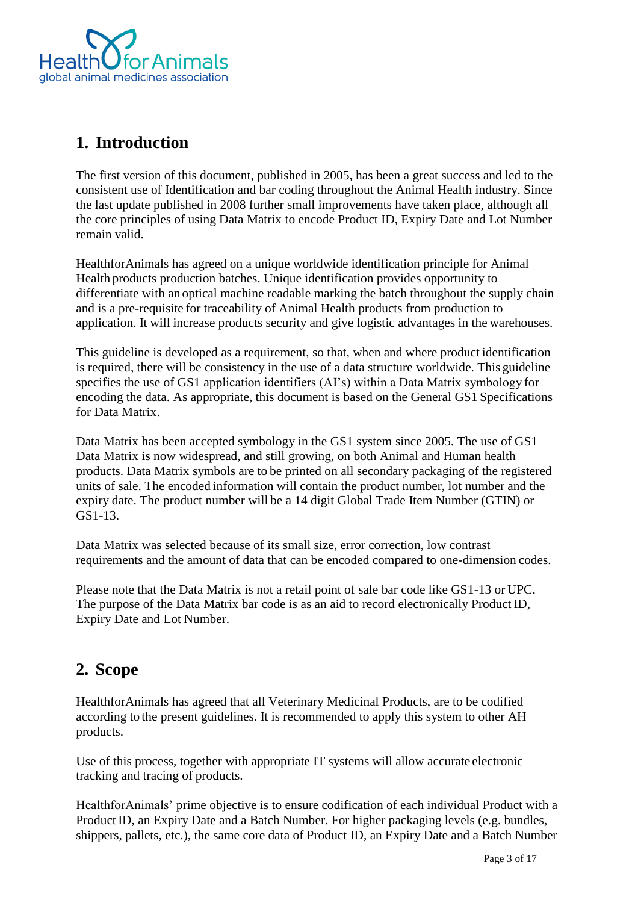

# <span id="page-2-0"></span>**1. Introduction**

The first version of this document, published in 2005, has been a great success and led to the consistent use of Identification and bar coding throughout the Animal Health industry. Since the last update published in 2008 further small improvements have taken place, although all the core principles of using Data Matrix to encode Product ID, Expiry Date and Lot Number remain valid.

HealthforAnimals has agreed on a unique worldwide identification principle for Animal Health products production batches. Unique identification provides opportunity to differentiate with an optical machine readable marking the batch throughout the supply chain and is a pre-requisite for traceability of Animal Health products from production to application. It will increase products security and give logistic advantages in the warehouses.

This guideline is developed as a requirement, so that, when and where product identification is required, there will be consistency in the use of a data structure worldwide. This guideline specifies the use of GS1 application identifiers (AI's) within a Data Matrix symbology for encoding the data. As appropriate, this document is based on the General GS1 Specifications for Data Matrix.

Data Matrix has been accepted symbology in the GS1 system since 2005. The use of GS1 Data Matrix is now widespread, and still growing, on both Animal and Human health products. Data Matrix symbols are to be printed on all secondary packaging of the registered units of sale. The encoded information will contain the product number, lot number and the expiry date. The product number will be a 14 digit Global Trade Item Number (GTIN) or GS1-13.

Data Matrix was selected because of its small size, error correction, low contrast requirements and the amount of data that can be encoded compared to one-dimension codes.

Please note that the Data Matrix is not a retail point of sale bar code like GS1-13 or UPC. The purpose of the Data Matrix bar code is as an aid to record electronically Product ID, Expiry Date and Lot Number.

# <span id="page-2-1"></span>**2. Scope**

HealthforAnimals has agreed that all Veterinary Medicinal Products, are to be codified according to the present guidelines. It is recommended to apply this system to other AH products.

Use of this process, together with appropriate IT systems will allow accurate electronic tracking and tracing of products.

HealthforAnimals' prime objective is to ensure codification of each individual Product with a Product ID, an Expiry Date and a Batch Number. For higher packaging levels (e.g. bundles, shippers, pallets, etc.), the same core data of Product ID, an Expiry Date and a Batch Number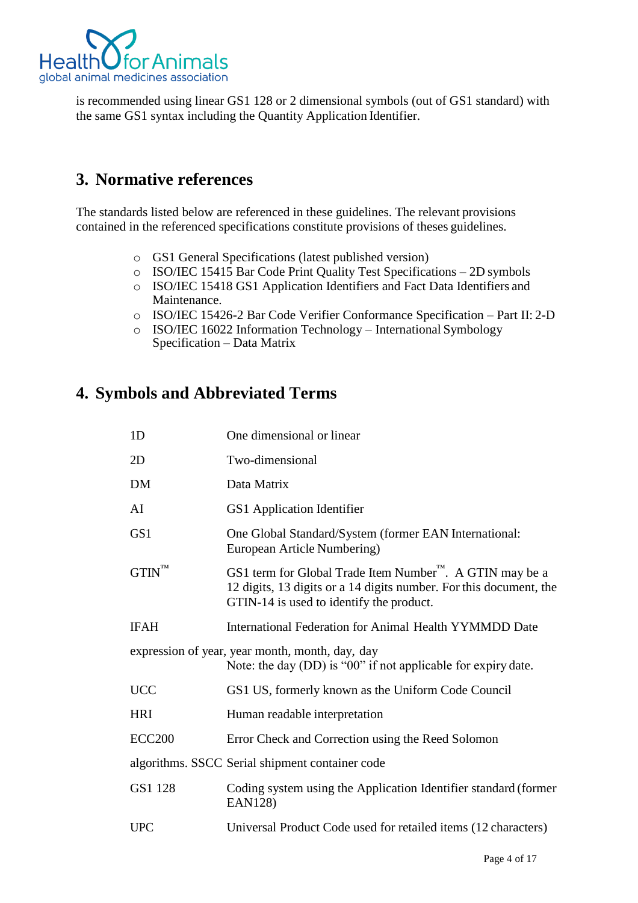

is recommended using linear GS1 128 or 2 dimensional symbols (out of GS1 standard) with the same GS1 syntax including the Quantity Application Identifier.

# <span id="page-3-0"></span>**3. Normative references**

The standards listed below are referenced in these guidelines. The relevant provisions contained in the referenced specifications constitute provisions of theses guidelines.

- o GS1 General Specifications (latest published version)
- o ISO/IEC 15415 Bar Code Print Quality Test Specifications 2D symbols
- o ISO/IEC 15418 GS1 Application Identifiers and Fact Data Identifiers and Maintenance.
- o ISO/IEC 15426-2 Bar Code Verifier Conformance Specification Part II: 2-D
- o ISO/IEC 16022 Information Technology International Symbology Specification – Data Matrix

# <span id="page-3-1"></span>**4. Symbols and Abbreviated Terms**

| 1D                  | One dimensional or linear                                                                                                                                                              |
|---------------------|----------------------------------------------------------------------------------------------------------------------------------------------------------------------------------------|
| 2D                  | Two-dimensional                                                                                                                                                                        |
| <b>DM</b>           | Data Matrix                                                                                                                                                                            |
| AI                  | GS1 Application Identifier                                                                                                                                                             |
| GS <sub>1</sub>     | One Global Standard/System (former EAN International:<br>European Article Numbering)                                                                                                   |
| $G TIN^{\text{TM}}$ | GS1 term for Global Trade Item Number <sup>™</sup> . A GTIN may be a<br>12 digits, 13 digits or a 14 digits number. For this document, the<br>GTIN-14 is used to identify the product. |
| <b>IFAH</b>         | International Federation for Animal Health YYMMDD Date                                                                                                                                 |
|                     | expression of year, year month, month, day, day<br>Note: the day (DD) is "00" if not applicable for expiry date.                                                                       |
| <b>UCC</b>          | GS1 US, formerly known as the Uniform Code Council                                                                                                                                     |
| <b>HRI</b>          | Human readable interpretation                                                                                                                                                          |
| <b>ECC200</b>       | Error Check and Correction using the Reed Solomon                                                                                                                                      |
|                     | algorithms. SSCC Serial shipment container code                                                                                                                                        |
| GS1 128             | Coding system using the Application Identifier standard (former<br><b>EAN128)</b>                                                                                                      |
| <b>UPC</b>          | Universal Product Code used for retailed items (12 characters)                                                                                                                         |
|                     |                                                                                                                                                                                        |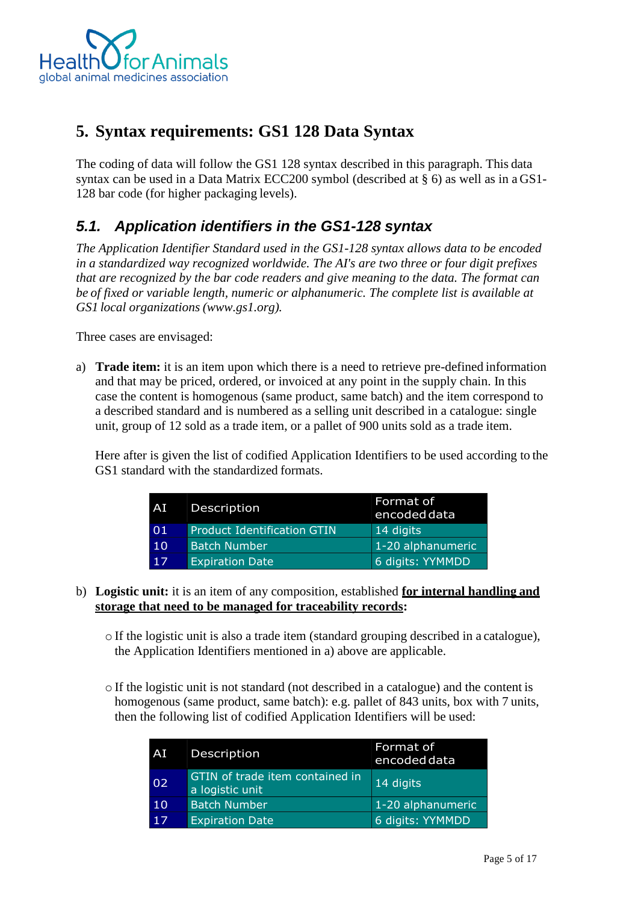

# <span id="page-4-0"></span>**5. Syntax requirements: GS1 128 Data Syntax**

The coding of data will follow the GS1 128 syntax described in this paragraph. This data syntax can be used in a Data Matrix ECC200 symbol (described at § 6) as well as in a GS1- 128 bar code (for higher packaging levels).

# <span id="page-4-1"></span>*5.1. Application identifiers in the GS1-128 syntax*

*The Application Identifier Standard used in the GS1-128 syntax allows data to be encoded in a standardized way recognized worldwide. The AI's are two three or four digit prefixes that are recognized by the bar code readers and give meaning to the data. The format can be of fixed or variable length, numeric or alphanumeric. The complete list is available at GS1 local organizations (www.gs1.org).*

Three cases are envisaged:

a) **Trade item:** it is an item upon which there is a need to retrieve pre-defined information and that may be priced, ordered, or invoiced at any point in the supply chain. In this case the content is homogenous (same product, same batch) and the item correspond to a described standard and is numbered as a selling unit described in a catalogue: single unit, group of 12 sold as a trade item, or a pallet of 900 units sold as a trade item.

Here after is given the list of codified Application Identifiers to be used according to the GS1 standard with the standardized formats.

| <b>AD</b> | Description                        | Format of<br>encoded data |
|-----------|------------------------------------|---------------------------|
| 01        | <b>Product Identification GTIN</b> | 14 digits                 |
| 10        | <b>Batch Number</b>                | 1-20 alphanumeric         |
| 17        | <b>Expiration Date</b>             | 6 digits: YYMMDD          |

#### b) **Logistic unit:** it is an item of any composition, established **for internal handling and storage that need to be managed for traceability records:**

- o If the logistic unit is also a trade item (standard grouping described in a catalogue), the Application Identifiers mentioned in a) above are applicable.
- o If the logistic unit is not standard (not described in a catalogue) and the content is homogenous (same product, same batch): e.g. pallet of 843 units, box with 7 units, then the following list of codified Application Identifiers will be used:

| AI | Description                                        | Format of<br>encoded data |
|----|----------------------------------------------------|---------------------------|
| 02 | GTIN of trade item contained in<br>a logistic unit | 14 digits                 |
| 10 | <b>Batch Number</b>                                | 1-20 alphanumeric         |
| 17 | <b>Expiration Date</b>                             | 6 digits: YYMMDD          |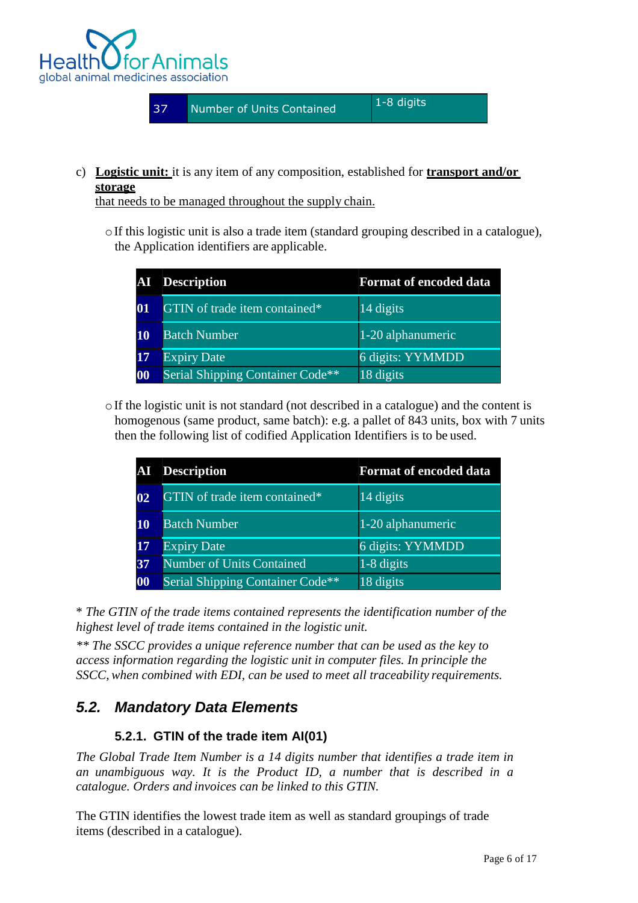

c) **Logistic unit:** it is any item of any composition, established for **transport and/or storage**

that needs to be managed throughout the supply chain.

 $\circ$ If this logistic unit is also a trade item (standard grouping described in a catalogue), the Application identifiers are applicable.

|           | <b>AI</b> Description                   | <b>Format of encoded data</b> |
|-----------|-----------------------------------------|-------------------------------|
| 01        | GTIN of trade item contained*           | 14 digits                     |
| <b>10</b> | <b>Batch Number</b>                     | 1-20 alphanumeric             |
| <b>17</b> | <b>Expiry Date</b>                      | 6 digits: YYMMDD              |
| 00        | <b>Serial Shipping Container Code**</b> | 18 digits                     |

 $\circ$ If the logistic unit is not standard (not described in a catalogue) and the content is homogenous (same product, same batch): e.g. a pallet of 843 units, box with 7 units then the following list of codified Application Identifiers is to be used.

|    | <b>AI</b> Description                   | <b>Format of encoded data</b> |
|----|-----------------------------------------|-------------------------------|
| 02 | GTIN of trade item contained*           | 14 digits                     |
| 10 | <b>Batch Number</b>                     | 1-20 alphanumeric             |
| 17 | <b>Expiry Date</b>                      | 6 digits: YYMMDD              |
| 37 | <b>Number of Units Contained</b>        | 1-8 digits                    |
| 00 | <b>Serial Shipping Container Code**</b> | 18 digits                     |

\* *The GTIN of the trade items contained represents the identification number of the highest level of trade items contained in the logistic unit.*

*\*\* The SSCC provides a unique reference number that can be used as the key to access information regarding the logistic unit in computer files. In principle the SSCC, when combined with EDI, can be used to meet all traceability requirements.*

### <span id="page-5-1"></span><span id="page-5-0"></span>*5.2. Mandatory Data Elements*

### **5.2.1. GTIN of the trade item AI(01)**

*The Global Trade Item Number is a 14 digits number that identifies a trade item in an unambiguous way. It is the Product ID, a number that is described in a catalogue. Orders and invoices can be linked to this GTIN.*

The GTIN identifies the lowest trade item as well as standard groupings of trade items (described in a catalogue).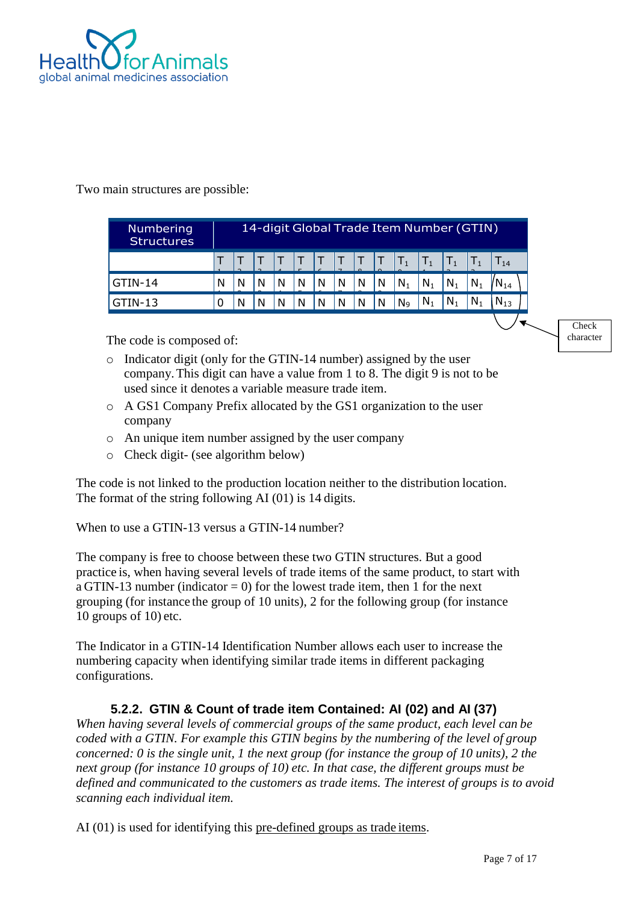

#### Two main structures are possible:

| Numbering<br><b>Structures</b> |   | 14-digit Global Trade Item Number (GTIN) |   |   |   |   |   |   |   |                |                |         |                  |          |  |
|--------------------------------|---|------------------------------------------|---|---|---|---|---|---|---|----------------|----------------|---------|------------------|----------|--|
|                                |   |                                          |   |   |   |   |   |   |   | $T_1$          | $\mathsf{T}_1$ |         | $\mathbf{1}_{1}$ | $T_{14}$ |  |
| GTIN-14                        | N | N                                        | N | N | N | N | N | N | N | $N_1$          | $N_1$          | $N_1$   | $N_1$            | $W_{14}$ |  |
| GTIN-13                        |   | N                                        | N | N | N | N | N |   | N | N <sub>9</sub> | $N_1$          | $N_{1}$ | $N_1$            | $N_{13}$ |  |

The code is composed of:

- o Indicator digit (only for the GTIN-14 number) assigned by the user company.This digit can have a value from 1 to 8. The digit 9 is not to be used since it denotes a variable measure trade item.
- o A GS1 Company Prefix allocated by the GS1 organization to the user company
- o An unique item number assigned by the user company
- o Check digit- (see algorithm below)

The code is not linked to the production location neither to the distribution location. The format of the string following AI (01) is 14 digits.

When to use a GTIN-13 versus a GTIN-14 number?

The company is free to choose between these two GTIN structures. But a good practice is, when having several levels of trade items of the same product, to start with a GTIN-13 number (indicator  $= 0$ ) for the lowest trade item, then 1 for the next grouping (for instance the group of 10 units), 2 for the following group (for instance 10 groups of 10) etc.

The Indicator in a GTIN-14 Identification Number allows each user to increase the numbering capacity when identifying similar trade items in different packaging configurations.

### **5.2.2. GTIN & Count of trade item Contained: AI (02) and AI (37)**

<span id="page-6-0"></span>*When having several levels of commercial groups of the same product, each level can be coded with a GTIN. For example this GTIN begins by the numbering of the level of group concerned: 0 is the single unit, 1 the next group (for instance the group of 10 units), 2 the next group (for instance 10 groups of 10) etc. In that case, the different groups must be defined and communicated to the customers as trade items. The interest of groups is to avoid scanning each individual item.*

AI (01) is used for identifying this pre-defined groups as trade items.

**Check** character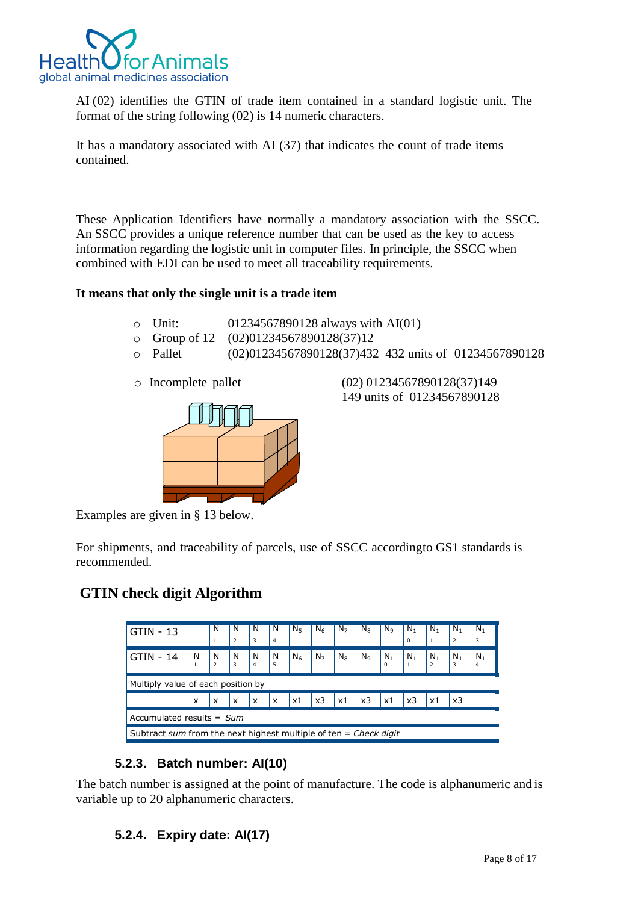

AI (02) identifies the GTIN of trade item contained in a standard logistic unit. The format of the string following (02) is 14 numeric characters.

It has a mandatory associated with AI (37) that indicates the count of trade items contained.

These Application Identifiers have normally a mandatory association with the SSCC. An SSCC provides a unique reference number that can be used as the key to access information regarding the logistic unit in computer files. In principle, the SSCC when combined with EDI can be used to meet all traceability requirements.

#### **It means that only the single unit is a trade item**

| Unit:               | 01234567890128 always with AI(01)    |                                                       |  |  |  |  |
|---------------------|--------------------------------------|-------------------------------------------------------|--|--|--|--|
|                     | Group of 12 (02)01234567890128(37)12 |                                                       |  |  |  |  |
| Pallet              |                                      | (02)01234567890128(37)432 432 units of 01234567890128 |  |  |  |  |
| o Incomplete pallet |                                      | (02) 01234567890128(37)149                            |  |  |  |  |
|                     |                                      | 149 units of 01234567890128                           |  |  |  |  |
|                     |                                      |                                                       |  |  |  |  |

Examples are given in § 13 below.

For shipments, and traceability of parcels, use of SSCC accordingto GS1 standards is recommended.

# **GTIN check digit Algorithm**

| $-13$<br>GTIN                                                    |               | N<br>$\overline{1}$                    | N<br>$\overline{2}$                    | N<br>3                                 | N<br>$\overline{4}$                    | N <sub>5</sub> | $N_6$          | N <sub>7</sub>         | $N_8$          | N <sub>9</sub>     | $N_1$<br>$\Omega$ | $N_1$           | $N_1$           | N <sub>1</sub><br>3 |
|------------------------------------------------------------------|---------------|----------------------------------------|----------------------------------------|----------------------------------------|----------------------------------------|----------------|----------------|------------------------|----------------|--------------------|-------------------|-----------------|-----------------|---------------------|
| GTIN - 14                                                        | $\frac{N}{1}$ | $\begin{bmatrix} N \\ 2 \end{bmatrix}$ | $\begin{bmatrix} N \\ 3 \end{bmatrix}$ | $\begin{bmatrix} N \\ 4 \end{bmatrix}$ | $\begin{bmatrix} N \\ 5 \end{bmatrix}$ | N <sub>6</sub> | N <sub>7</sub> | $N_8$                  | N <sub>9</sub> | $N_1$ <sub>0</sub> | $\frac{N_1}{1}$   | $\frac{N_1}{2}$ | $\frac{N_1}{3}$ | $\frac{N_1}{4}$     |
| Multiply value of each position by                               |               |                                        |                                        |                                        |                                        |                |                |                        |                |                    |                   |                 |                 |                     |
|                                                                  | $\mathsf{x}$  | $\boldsymbol{\mathsf{x}}$              | $\mathsf{x}$                           | $\mathsf{x}$                           | l x                                    | l x1           | x3             | $\mathsf{1}\mathsf{x}$ | x3             | $\times 1$         | x3                | x1              | x3              |                     |
| Accumulated results = $Sum$                                      |               |                                        |                                        |                                        |                                        |                |                |                        |                |                    |                   |                 |                 |                     |
| Subtract sum from the next highest multiple of ten = Check digit |               |                                        |                                        |                                        |                                        |                |                |                        |                |                    |                   |                 |                 |                     |

#### **5.2.3. Batch number: AI(10)**

<span id="page-7-1"></span><span id="page-7-0"></span>The batch number is assigned at the point of manufacture. The code is alphanumeric and is variable up to 20 alphanumeric characters.

#### **5.2.4. Expiry date: AI(17)**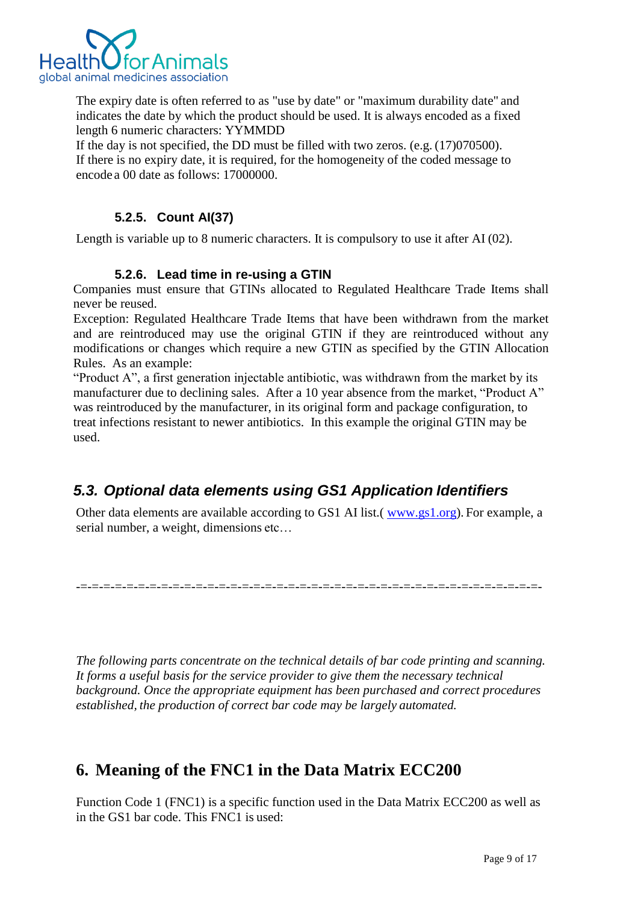

The expiry date is often referred to as "use by date" or "maximum durability date" and indicates the date by which the product should be used. It is always encoded as a fixed length 6 numeric characters: YYMMDD

If the day is not specified, the DD must be filled with two zeros. (e.g. (17)070500). If there is no expiry date, it is required, for the homogeneity of the coded message to encode a 00 date as follows: 17000000.

### **5.2.5. Count AI(37)**

<span id="page-8-0"></span>Length is variable up to 8 numeric characters. It is compulsory to use it after AI (02).

#### **5.2.6. Lead time in re-using a GTIN**

Companies must ensure that GTINs allocated to Regulated Healthcare Trade Items shall never be reused.

Exception: Regulated Healthcare Trade Items that have been withdrawn from the market and are reintroduced may use the original GTIN if they are reintroduced without any modifications or changes which require a new GTIN as specified by the GTIN Allocation Rules. As an example:

"Product A", a first generation injectable antibiotic, was withdrawn from the market by its manufacturer due to declining sales. After a 10 year absence from the market, "Product A" was reintroduced by the manufacturer, in its original form and package configuration, to treat infections resistant to newer antibiotics. In this example the original GTIN may be used.

### <span id="page-8-1"></span>*5.3. Optional data elements using GS1 Application Identifiers*

Other data elements are available according to GS1 AI list.( www.gs1.org). For example, a serial number, a weight, dimensions etc…

-=-=-=-=-=-=-=-=-=-=-=-=-=-=-=-=-=-=-=-=-=-=-=-=-=-=-=-=-=-=-=-=-=-=-=-=-=-=-=-=-

*The following parts concentrate on the technical details of bar code printing and scanning. It forms a useful basis for the service provider to give them the necessary technical background. Once the appropriate equipment has been purchased and correct procedures established, the production of correct bar code may be largely automated.*

# <span id="page-8-2"></span>**6. Meaning of the FNC1 in the Data Matrix ECC200**

Function Code 1 (FNC1) is a specific function used in the Data Matrix ECC200 as well as in the GS1 bar code. This FNC1 is used: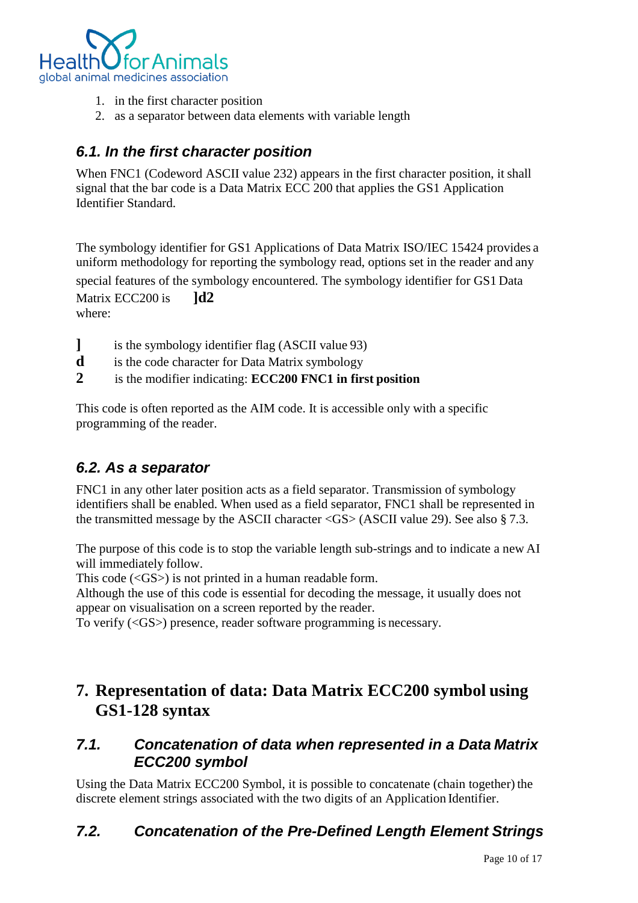

- 1. in the first character position
- 2. as a separator between data elements with variable length

### *6.1. In the first character position*

When FNC1 (Codeword ASCII value 232) appears in the first character position, it shall signal that the bar code is a Data Matrix ECC 200 that applies the GS1 Application Identifier Standard.

The symbology identifier for GS1 Applications of Data Matrix ISO/IEC 15424 provides a uniform methodology for reporting the symbology read, options set in the reader and any

special features of the symbology encountered. The symbology identifier for GS1 Data Matrix ECC200 is **ld2** 

where:

- **]** is the symbology identifier flag (ASCII value 93)
- **d** is the code character for Data Matrix symbology
- **2** is the modifier indicating: **ECC200 FNC1 in first position**

This code is often reported as the AIM code. It is accessible only with a specific programming of the reader.

### *6.2. As a separator*

FNC1 in any other later position acts as a field separator. Transmission of symbology identifiers shall be enabled. When used as a field separator, FNC1 shall be represented in the transmitted message by the ASCII character <GS> (ASCII value 29). See also § 7.3.

The purpose of this code is to stop the variable length sub-strings and to indicate a new AI will immediately follow.

This code (<GS>) is not printed in a human readable form.

Although the use of this code is essential for decoding the message, it usually does not appear on visualisation on a screen reported by the reader.

To verify (<GS>) presence, reader software programming is necessary.

# <span id="page-9-0"></span>**7. Representation of data: Data Matrix ECC200 symbol using GS1-128 syntax**

### *7.1. Concatenation of data when represented in a Data Matrix ECC200 symbol*

Using the Data Matrix ECC200 Symbol, it is possible to concatenate (chain together) the discrete element strings associated with the two digits of an Application Identifier.

### <span id="page-9-1"></span>*7.2. Concatenation of the Pre-Defined Length Element Strings*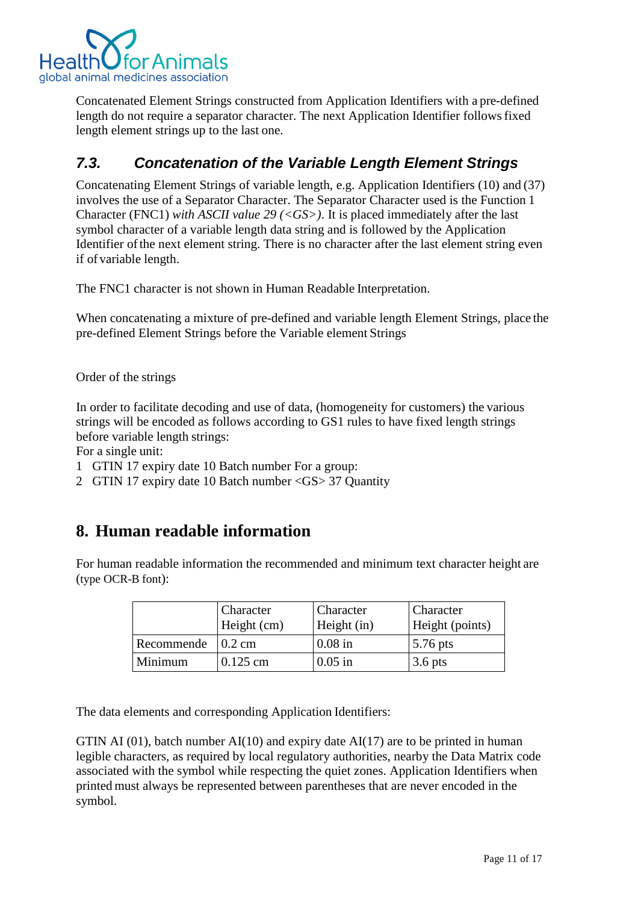

Concatenated Element Strings constructed from Application Identifiers with a pre-defined length do not require a separator character. The next Application Identifier follows fixed length element strings up to the last one.

### <span id="page-10-0"></span>*7.3. Concatenation of the Variable Length Element Strings*

Concatenating Element Strings of variable length, e.g. Application Identifiers (10) and (37) involves the use of a Separator Character. The Separator Character used is the Function 1 Character (FNC1) *with ASCII value 29 (<GS>)*. It is placed immediately after the last symbol character of a variable length data string and is followed by the Application Identifier of the next element string. There is no character after the last element string even if of variable length.

The FNC1 character is not shown in Human Readable Interpretation.

When concatenating a mixture of pre-defined and variable length Element Strings, place the pre-defined Element Strings before the Variable element Strings

Order of the strings

In order to facilitate decoding and use of data, (homogeneity for customers) the various strings will be encoded as follows according to GS1 rules to have fixed length strings before variable length strings:

For a single unit:

- 1 GTIN 17 expiry date 10 Batch number For a group:
- 2 GTIN 17 expiry date 10 Batch number <GS> 37 Quantity

# <span id="page-10-1"></span>**8. Human readable information**

For human readable information the recommended and minimum text character height are (type OCR-B font):

|                           | Character<br>Height (cm) | Character<br>Height (in) | <b>Character</b><br>Height (points) |
|---------------------------|--------------------------|--------------------------|-------------------------------------|
| Recommende $\vert$ 0.2 cm |                          | $0.08$ in                | $5.76$ pts                          |
| Minimum                   | $0.125$ cm               | $0.05$ in                | $3.6$ pts                           |

The data elements and corresponding Application Identifiers:

GTIN AI  $(01)$ , batch number AI $(10)$  and expiry date AI $(17)$  are to be printed in human legible characters, as required by local regulatory authorities, nearby the Data Matrix code associated with the symbol while respecting the quiet zones. Application Identifiers when printed must always be represented between parentheses that are never encoded in the symbol.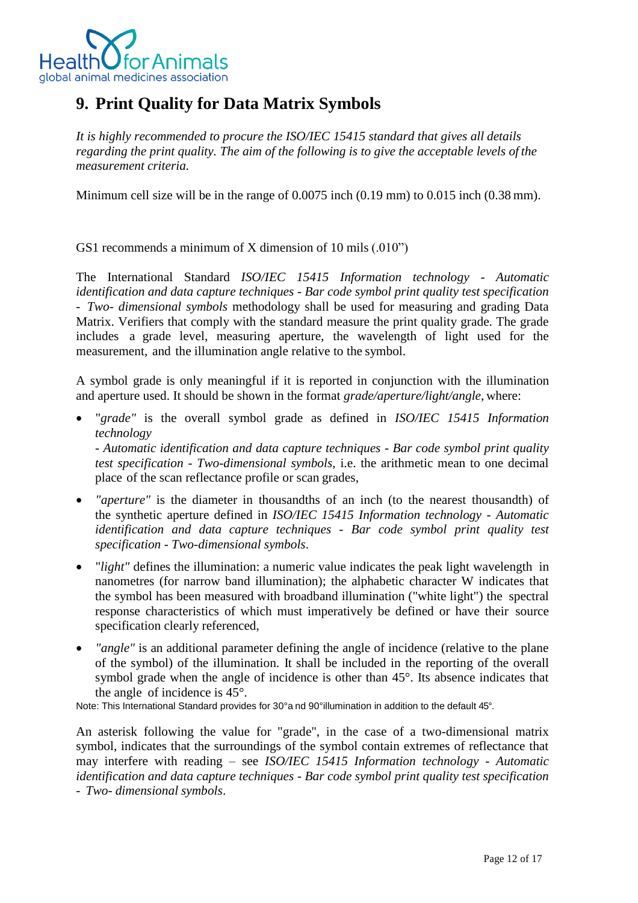

# <span id="page-11-0"></span>**9. Print Quality for Data Matrix Symbols**

*It is highly recommended to procure the ISO/IEC 15415 standard that gives all details regarding the print quality. The aim of the following is to give the acceptable levels of the measurement criteria.*

Minimum cell size will be in the range of 0.0075 inch (0.19 mm) to 0.015 inch (0.38 mm).

GS1 recommends a minimum of X dimension of 10 mils (.010")

The International Standard *ISO/IEC 15415 Information technology - Automatic identification and data capture techniques - Bar code symbol print quality test specification - Two- dimensional symbols* methodology shall be used for measuring and grading Data Matrix. Verifiers that comply with the standard measure the print quality grade. The grade includes a grade level, measuring aperture, the wavelength of light used for the measurement, and the illumination angle relative to the symbol.

A symbol grade is only meaningful if it is reported in conjunction with the illumination and aperture used. It should be shown in the format *grade/aperture/light/angle*, where:

 "*grade"* is the overall symbol grade as defined in *ISO/IEC 15415 Information technology - Automatic identification and data capture techniques - Bar code symbol print quality*

*test specification - Two-dimensional symbols*, i.e. the arithmetic mean to one decimal place of the scan reflectance profile or scan grades,

- *"aperture"* is the diameter in thousandths of an inch (to the nearest thousandth) of the synthetic aperture defined in *ISO/IEC 15415 Information technology - Automatic identification and data capture techniques - Bar code symbol print quality test specification - Two-dimensional symbols*.
- "*light"* defines the illumination: a numeric value indicates the peak light wavelength in nanometres (for narrow band illumination); the alphabetic character W indicates that the symbol has been measured with broadband illumination ("white light") the spectral response characteristics of which must imperatively be defined or have their source specification clearly referenced,
- *"angle"* is an additional parameter defining the angle of incidence (relative to the plane of the symbol) of the illumination. It shall be included in the reporting of the overall symbol grade when the angle of incidence is other than 45°. Its absence indicates that the angle of incidence is 45°.

Note: This International Standard provides for 30°a nd 90°illumination in addition to the default 45°.

An asterisk following the value for "grade", in the case of a two-dimensional matrix symbol, indicates that the surroundings of the symbol contain extremes of reflectance that may interfere with reading – see *ISO/IEC 15415 Information technology - Automatic identification and data capture techniques - Bar code symbol print quality test specification - Two- dimensional symbols*.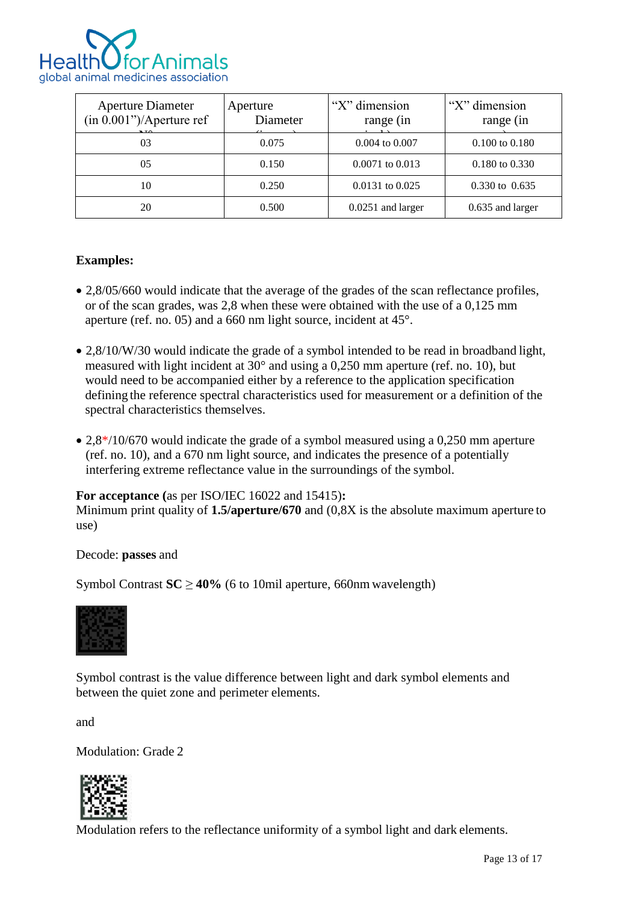

| <b>Aperture Diameter</b><br>(in 0.001")/Aperture ref | Aperture<br>Diameter | "X" dimension<br>range (in | "X" dimension<br>range (in |
|------------------------------------------------------|----------------------|----------------------------|----------------------------|
| 03                                                   | 0.075                | 0.004 to 0.007             | $0.100$ to $0.180$         |
| 05                                                   | 0.150                | $0.0071$ to $0.013$        | $0.180$ to $0.330$         |
| 10                                                   | 0.250                | $0.0131$ to $0.025$        | $0.330 \text{ to } 0.635$  |
| 20                                                   | 0.500                | $0.0251$ and larger        | 0.635 and larger           |

#### **Examples:**

- 2,8/05/660 would indicate that the average of the grades of the scan reflectance profiles, or of the scan grades, was 2,8 when these were obtained with the use of a 0,125 mm aperture (ref. no. 05) and a 660 nm light source, incident at 45°.
- 2,8/10/W/30 would indicate the grade of a symbol intended to be read in broadband light, measured with light incident at 30° and using a 0,250 mm aperture (ref. no. 10), but would need to be accompanied either by a reference to the application specification defining the reference spectral characteristics used for measurement or a definition of the spectral characteristics themselves.
- 2,8<sup>\*</sup>/10/670 would indicate the grade of a symbol measured using a 0,250 mm aperture (ref. no. 10), and a 670 nm light source, and indicates the presence of a potentially interfering extreme reflectance value in the surroundings of the symbol.

#### **For acceptance (**as per ISO/IEC 16022 and 15415)**:**

Minimum print quality of **1.5/aperture/670** and (0,8X is the absolute maximum aperture to use)

Decode: **passes** and

Symbol Contrast  $SC \ge 40\%$  (6 to 10mil aperture, 660nm wavelength)



Symbol contrast is the value difference between light and dark symbol elements and between the quiet zone and perimeter elements.

and

Modulation: Grade 2



Modulation refers to the reflectance uniformity of a symbol light and dark elements.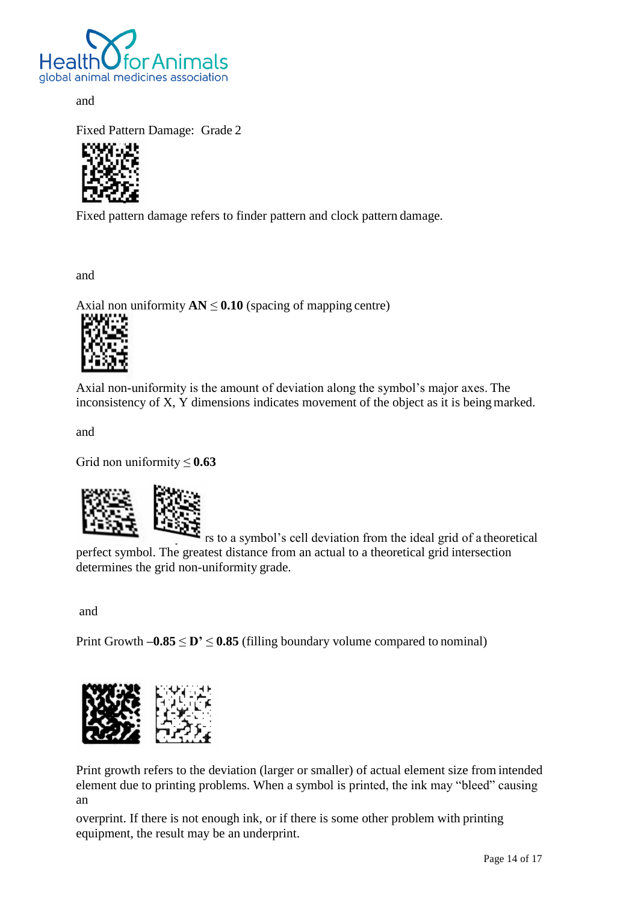

and

Fixed Pattern Damage: Grade 2



Fixed pattern damage refers to finder pattern and clock pattern damage.

and

Axial non uniformity  $AN \leq 0.10$  (spacing of mapping centre)



Axial non-uniformity is the amount of deviation along the symbol's major axes. The inconsistency of X, Y dimensions indicates movement of the object as it is beingmarked.

and

Grid non uniformity  $\leq 0.63$ 



rs to a symbol's cell deviation from the ideal grid of a theoretical perfect symbol. The greatest distance from an actual to a theoretical grid intersection determines the grid non-uniformity grade.

and

Print Growth  $-0.85 \leq D' \leq 0.85$  (filling boundary volume compared to nominal)



Print growth refers to the deviation (larger or smaller) of actual element size from intended element due to printing problems. When a symbol is printed, the ink may "bleed" causing an

overprint. If there is not enough ink, or if there is some other problem with printing equipment, the result may be an underprint.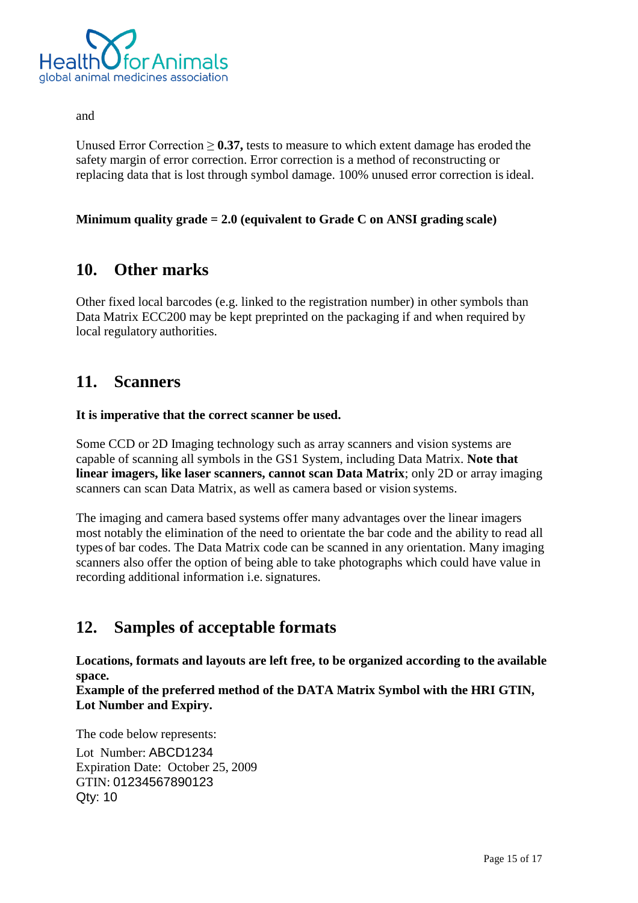

and

Unused Error Correction  $\geq 0.37$ , tests to measure to which extent damage has eroded the safety margin of error correction. Error correction is a method of reconstructing or replacing data that is lost through symbol damage. 100% unused error correction isideal.

#### **Minimum quality grade = 2.0 (equivalent to Grade C on ANSI grading scale)**

### <span id="page-14-0"></span>**10. Other marks**

Other fixed local barcodes (e.g. linked to the registration number) in other symbols than Data Matrix ECC200 may be kept preprinted on the packaging if and when required by local regulatory authorities.

### <span id="page-14-1"></span>**11. Scanners**

**It is imperative that the correct scanner be used.**

Some CCD or 2D Imaging technology such as array scanners and vision systems are capable of scanning all symbols in the GS1 System, including Data Matrix. **Note that linear imagers, like laser scanners, cannot scan Data Matrix**; only 2D or array imaging scanners can scan Data Matrix, as well as camera based or vision systems.

The imaging and camera based systems offer many advantages over the linear imagers most notably the elimination of the need to orientate the bar code and the ability to read all types of bar codes. The Data Matrix code can be scanned in any orientation. Many imaging scanners also offer the option of being able to take photographs which could have value in recording additional information i.e. signatures.

# <span id="page-14-2"></span>**12. Samples of acceptable formats**

**Locations, formats and layouts are left free, to be organized according to the available space.**

**Example of the preferred method of the DATA Matrix Symbol with the HRI GTIN, Lot Number and Expiry.**

The code below represents: Lot Number: ABCD1234 Expiration Date: October 25, 2009 GTIN: 01234567890123 Qty: 10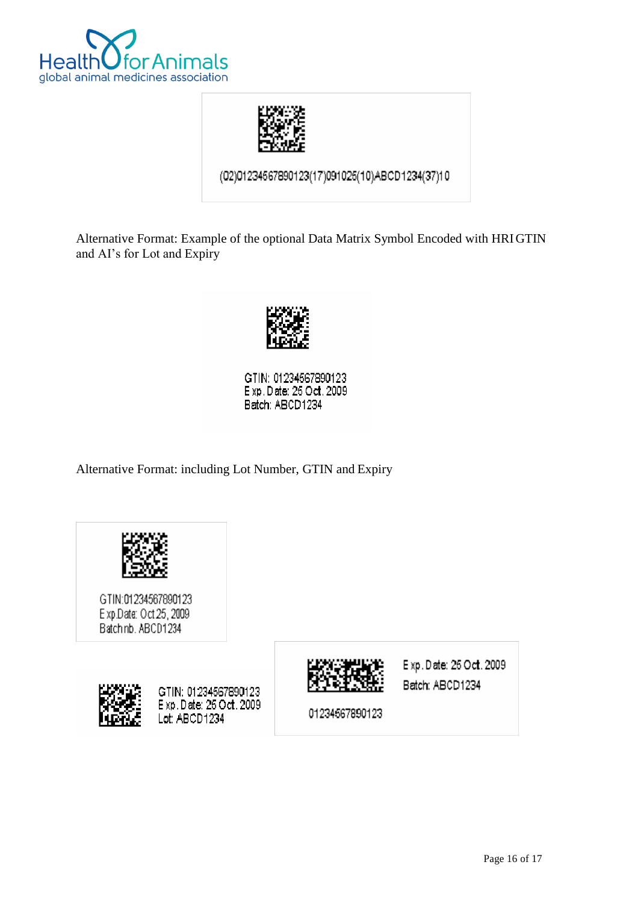



(02)01234567890123(17)091025(10)ABCD1234(37)10

Alternative Format: Example of the optional Data Matrix Symbol Encoded with HRIGTIN and AI's for Lot and Expiry



GTIN: 01234567890123 Exp. Date: 26 Oct. 2009 Batch: ABCD1234

Alternative Format: including Lot Number, GTIN and Expiry